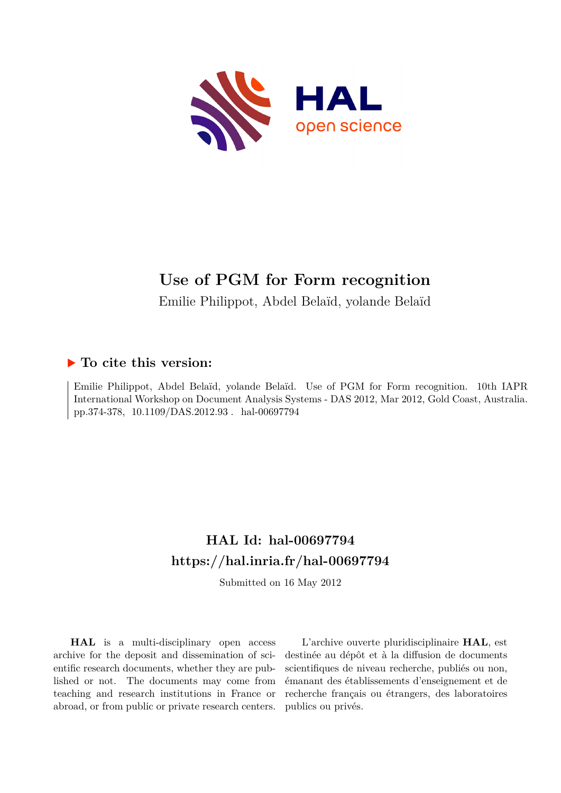

# **Use of PGM for Form recognition**

Emilie Philippot, Abdel Belaïd, yolande Belaïd

### **To cite this version:**

Emilie Philippot, Abdel Belaïd, yolande Belaïd. Use of PGM for Form recognition. 10th IAPR International Workshop on Document Analysis Systems - DAS 2012, Mar 2012, Gold Coast, Australia. pp.374-378, 10.1109/DAS.2012.93. hal-00697794

## **HAL Id: hal-00697794 <https://hal.inria.fr/hal-00697794>**

Submitted on 16 May 2012

**HAL** is a multi-disciplinary open access archive for the deposit and dissemination of scientific research documents, whether they are published or not. The documents may come from teaching and research institutions in France or abroad, or from public or private research centers.

L'archive ouverte pluridisciplinaire **HAL**, est destinée au dépôt et à la diffusion de documents scientifiques de niveau recherche, publiés ou non, émanant des établissements d'enseignement et de recherche français ou étrangers, des laboratoires publics ou privés.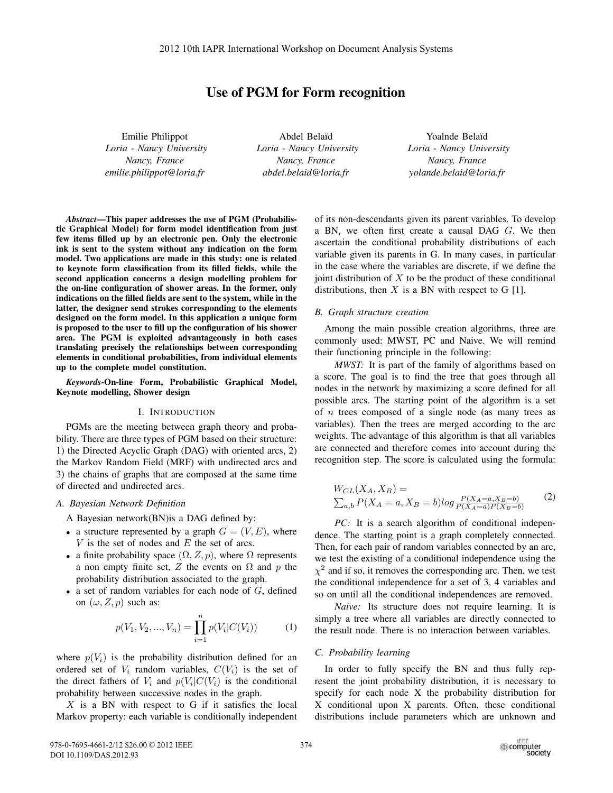### Use of PGM for Form recognition

Emilie Philippot *Loria - Nancy University Nancy, France emilie.philippot@loria.fr*

Abdel Bela¨ıd *Loria - Nancy University Nancy, France abdel.belaid@loria.fr*

Yoalnde Belaïd *Loria - Nancy University Nancy, France yolande.belaid@loria.fr*

*Abstract*—This paper addresses the use of PGM (Probabilistic Graphical Model) for form model identification from just few items filled up by an electronic pen. Only the electronic ink is sent to the system without any indication on the form model. Two applications are made in this study: one is related to keynote form classification from its filled fields, while the second application concerns a design modelling problem for the on-line configuration of shower areas. In the former, only indications on the filled fields are sent to the system, while in the latter, the designer send strokes corresponding to the elements designed on the form model. In this application a unique form is proposed to the user to fill up the configuration of his shower area. The PGM is exploited advantageously in both cases translating precisely the relationships between corresponding elements in conditional probabilities, from individual elements up to the complete model constitution.

*Keywords*-On-line Form, Probabilistic Graphical Model, Keynote modelling, Shower design

#### I. INTRODUCTION

PGMs are the meeting between graph theory and probability. There are three types of PGM based on their structure: 1) the Directed Acyclic Graph (DAG) with oriented arcs, 2) the Markov Random Field (MRF) with undirected arcs and 3) the chains of graphs that are composed at the same time of directed and undirected arcs.

#### *A. Bayesian Network Definition*

A Bayesian network(BN)is a DAG defined by:

- a structure represented by a graph  $G = (V, E)$ , where *V* is the set of nodes and *E* the set of arcs.
- a finite probability space  $(\Omega, Z, p)$ , where  $\Omega$  represents a non empty finite set,  $Z$  the events on  $\Omega$  and  $p$  the probability distribution associated to the graph.
- a set of random variables for each node of *G*, defined on  $(\omega, Z, p)$  such as:

$$
p(V_1, V_2, ..., V_n) = \prod_{i=1}^{n} p(V_i | C(V_i))
$$
 (1)

where  $p(V_i)$  is the probability distribution defined for an ordered set of  $V_i$  random variables,  $C(V_i)$  is the set of the direct fathers of  $V_i$  and  $p(V_i|C(V_i))$  is the conditional probability between successive nodes in the graph.

*X* is a BN with respect to G if it satisfies the local Markov property: each variable is conditionally independent of its non-descendants given its parent variables. To develop a BN, we often first create a causal DAG *G*. We then ascertain the conditional probability distributions of each variable given its parents in G. In many cases, in particular in the case where the variables are discrete, if we define the joint distribution of *X* to be the product of these conditional distributions, then  $X$  is a BN with respect to G  $[1]$ .

#### *B. Graph structure creation*

Among the main possible creation algorithms, three are commonly used: MWST, PC and Naive. We will remind their functioning principle in the following:

*MWST:* It is part of the family of algorithms based on a score. The goal is to find the tree that goes through all nodes in the network by maximizing a score defined for all possible arcs. The starting point of the algorithm is a set of *n* trees composed of a single node (as many trees as variables). Then the trees are merged according to the arc weights. The advantage of this algorithm is that all variables are connected and therefore comes into account during the recognition step. The score is calculated using the formula:

$$
W_{CL}(X_A, X_B) = \sum_{a,b} P(X_A = a, X_B = b) \log \frac{P(X_A = a, X_B = b)}{P(X_A = a)P(X_B = b)} \tag{2}
$$

*PC:* It is a search algorithm of conditional independence. The starting point is a graph completely connected. Then, for each pair of random variables connected by an arc, we test the existing of a conditional independence using the  $\chi^2$  and if so, it removes the corresponding arc. Then, we test the conditional independence for a set of 3, 4 variables and so on until all the conditional independences are removed.

*Naive:* Its structure does not require learning. It is simply a tree where all variables are directly connected to the result node. There is no interaction between variables.

#### *C. Probability learning*

In order to fully specify the BN and thus fully represent the joint probability distribution, it is necessary to specify for each node X the probability distribution for X conditional upon X parents. Often, these conditional distributions include parameters which are unknown and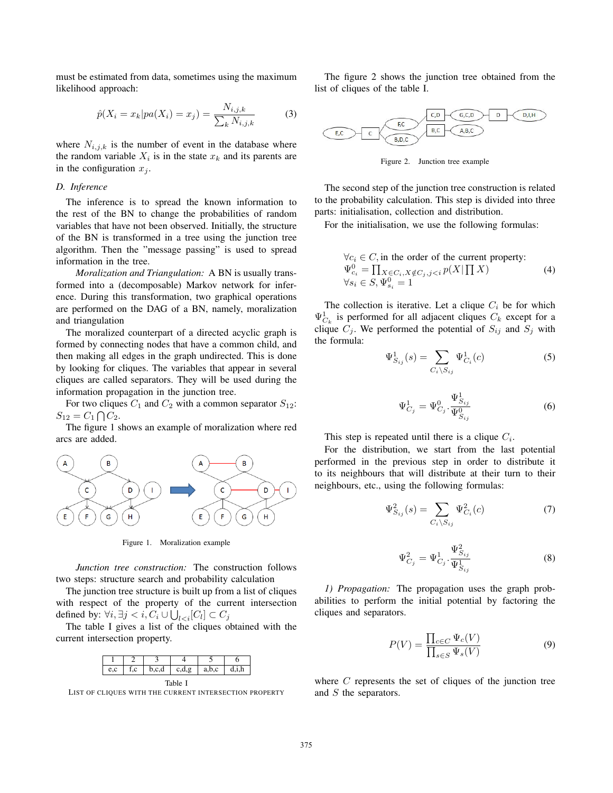must be estimated from data, sometimes using the maximum likelihood approach:

$$
\hat{p}(X_i = x_k | pa(X_i) = x_j) = \frac{N_{i,j,k}}{\sum_k N_{i,j,k}} \tag{3}
$$

where  $N_{i,j,k}$  is the number of event in the database where the random variable  $X_i$  is in the state  $x_k$  and its parents are in the configuration  $x_i$ .

#### *D. Inference*

The inference is to spread the known information to the rest of the BN to change the probabilities of random variables that have not been observed. Initially, the structure of the BN is transformed in a tree using the junction tree algorithm. Then the "message passing" is used to spread information in the tree.

*Moralization and Triangulation:* A BN is usually transformed into a (decomposable) Markov network for inference. During this transformation, two graphical operations are performed on the DAG of a BN, namely, moralization and triangulation

The moralized counterpart of a directed acyclic graph is formed by connecting nodes that have a common child, and then making all edges in the graph undirected. This is done by looking for cliques. The variables that appear in several cliques are called separators. They will be used during the information propagation in the junction tree.

For two cliques  $C_1$  and  $C_2$  with a common separator  $S_{12}$ :  $S_{12} = C_1 \bigcap C_2$ .

The figure 1 shows an example of moralization where red arcs are added.



Figure 1. Moralization example

*Junction tree construction:* The construction follows two steps: structure search and probability calculation

The junction tree structure is built up from a list of cliques with respect of the property of the current intersection defined by:  $\forall i, \exists j < i, C_i \cup \bigcup_{l < i} [C_l] \subset C_j$ 

The table I gives a list of the cliques obtained with the current intersection property.

|  | ⊶.c.a | cdo | a t |  |
|--|-------|-----|-----|--|

Table I LIST OF CLIQUES WITH THE CURRENT INTERSECTION PROPERTY

The figure 2 shows the junction tree obtained from the list of cliques of the table I.



Figure 2. Junction tree example

The second step of the junction tree construction is related to the probability calculation. This step is divided into three parts: initialisation, collection and distribution.

For the initialisation, we use the following formulas:

$$
\forall c_i \in C, \text{ in the order of the current property:}
$$
  
\n
$$
\Psi_{c_i}^0 = \prod_{X \in C_i, X \notin C_j, j < i} p(X \mid \prod X) \tag{4}
$$
  
\n
$$
\forall s_i \in S, \Psi_{s_i}^0 = 1
$$

The collection is iterative. Let a clique  $C_i$  be for which  $\Psi_{C_k}^1$  is performed for all adjacent cliques  $C_k$  except for a clique  $C_j$ . We performed the potential of  $S_{ij}$  and  $S_j$  with the formula:

$$
\Psi_{S_{ij}}^1(s) = \sum_{C_i \backslash S_{ij}} \Psi_{C_i}^1(c) \tag{5}
$$

$$
\Psi_{C_j}^1 = \Psi_{C_j}^0 \cdot \frac{\Psi_{S_{ij}}^1}{\Psi_{S_{ij}}^0} \tag{6}
$$

This step is repeated until there is a clique  $C_i$ .

For the distribution, we start from the last potential performed in the previous step in order to distribute it to its neighbours that will distribute at their turn to their neighbours, etc., using the following formulas:

$$
\Psi_{S_{ij}}^2(s) = \sum_{C_i \backslash S_{ij}} \Psi_{C_i}^2(c) \tag{7}
$$

$$
\Psi_{C_j}^2 = \Psi_{C_j}^1 \cdot \frac{\Psi_{S_{ij}}^2}{\Psi_{S_{ij}}^1}
$$
\n(8)

*1) Propagation:* The propagation uses the graph probabilities to perform the initial potential by factoring the cliques and separators.

$$
P(V) = \frac{\prod_{c \in C} \Psi_c(V)}{\prod_{s \in S} \Psi_s(V)} \tag{9}
$$

where *C* represents the set of cliques of the junction tree and *S* the separators.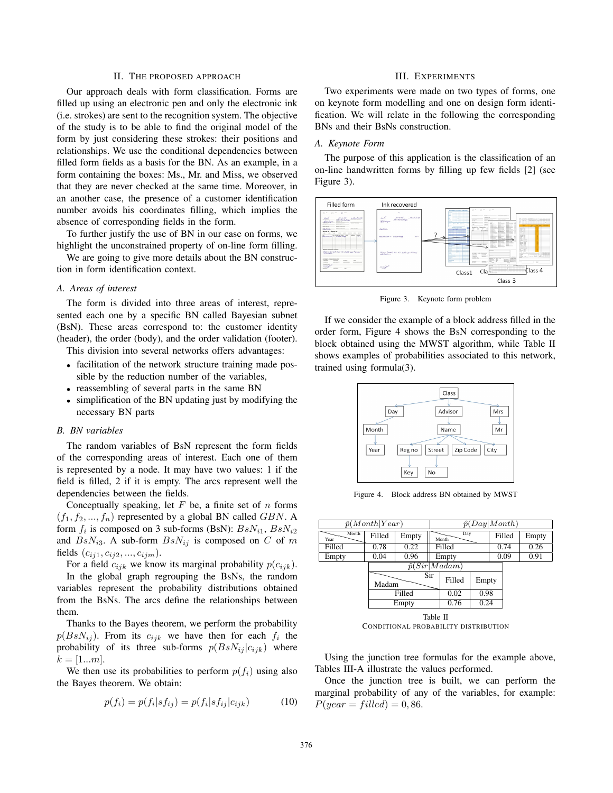#### II. THE PROPOSED APPROACH

Our approach deals with form classification. Forms are filled up using an electronic pen and only the electronic ink (i.e. strokes) are sent to the recognition system. The objective of the study is to be able to find the original model of the form by just considering these strokes: their positions and relationships. We use the conditional dependencies between filled form fields as a basis for the BN. As an example, in a form containing the boxes: Ms., Mr. and Miss, we observed that they are never checked at the same time. Moreover, in an another case, the presence of a customer identification number avoids his coordinates filling, which implies the absence of corresponding fields in the form.

To further justify the use of BN in our case on forms, we highlight the unconstrained property of on-line form filling.

We are going to give more details about the BN construction in form identification context.

#### *A. Areas of interest*

The form is divided into three areas of interest, represented each one by a specific BN called Bayesian subnet (BsN). These areas correspond to: the customer identity (header), the order (body), and the order validation (footer).

This division into several networks offers advantages:

- facilitation of the network structure training made possible by the reduction number of the variables,
- reassembling of several parts in the same BN
- simplification of the BN updating just by modifying the necessary BN parts

#### *B. BN variables*

The random variables of BsN represent the form fields of the corresponding areas of interest. Each one of them is represented by a node. It may have two values: 1 if the field is filled, 2 if it is empty. The arcs represent well the dependencies between the fields.

Conceptually speaking, let *F* be, a finite set of *n* forms  $(f_1, f_2, ..., f_n)$  represented by a global BN called *GBN*. A form  $f_i$  is composed on 3 sub-forms (BsN):  $BsN_{i1}$ ,  $BsN_{i2}$ and  $BsN_{i3}$ . A sub-form  $BsN_{ij}$  is composed on *C* of *m* fields  $(c_{ij1}, c_{ij2}, ..., c_{ijm})$ .

For a field  $c_{ijk}$  we know its marginal probability  $p(c_{ijk})$ . In the global graph regrouping the BsNs, the random variables represent the probability distributions obtained from the BsNs. The arcs define the relationships between them.

Thanks to the Bayes theorem, we perform the probability  $p(BsN_{ij})$ . From its  $c_{ijk}$  we have then for each  $f_i$  the probability of its three sub-forms  $p(BsN_{ij} | c_{ijk})$  where  $k = [1...m]$ .

We then use its probabilities to perform  $p(f_i)$  using also the Bayes theorem. We obtain:

$$
p(f_i) = p(f_i|s f_{ij}) = p(f_i|s f_{ij}|c_{ijk})
$$
\n<sup>(10)</sup>

#### III. EXPERIMENTS

Two experiments were made on two types of forms, one on keynote form modelling and one on design form identification. We will relate in the following the corresponding BNs and their BsNs construction.

#### *A. Keynote Form*

The purpose of this application is the classification of an on-line handwritten forms by filling up few fields [2] (see Figure 3).



Figure 3. Keynote form problem

If we consider the example of a block address filled in the order form, Figure 4 shows the BsN corresponding to the block obtained using the MWST algorithm, while Table II shows examples of probabilities associated to this network, trained using formula(3).



Figure 4. Block address BN obtained by MWST

|               | $\hat{p}(Month Year)$ |        |          |                      | $\hat{p}(Day Month)$ |        |       |
|---------------|-----------------------|--------|----------|----------------------|----------------------|--------|-------|
| Month<br>Year | Filled                | Empty  |          | Day<br>Month         |                      | Filled | Empty |
| Filled        | 0.78                  | 0.22   |          | Filled               |                      | 0.74   | 0.26  |
| Empty         | 0.04                  | 0.96   |          | Empty                |                      | 0.09   | 0.91  |
|               |                       |        |          | $\hat{p}(Sir Madam)$ |                      |        |       |
|               | Madam                 |        | Sir      | Filled               | Empty                |        |       |
|               |                       | Filled |          | 0.02                 | 0.98                 |        |       |
|               |                       | Empty  |          | 0.76                 | 0.24                 |        |       |
|               |                       |        | Table II |                      |                      |        |       |

CONDITIONAL PROBABILITY DISTRIBUTION

Using the junction tree formulas for the example above, Tables III-A illustrate the values performed.

Once the junction tree is built, we can perform the marginal probability of any of the variables, for example:  $P(year = filled) = 0,86.$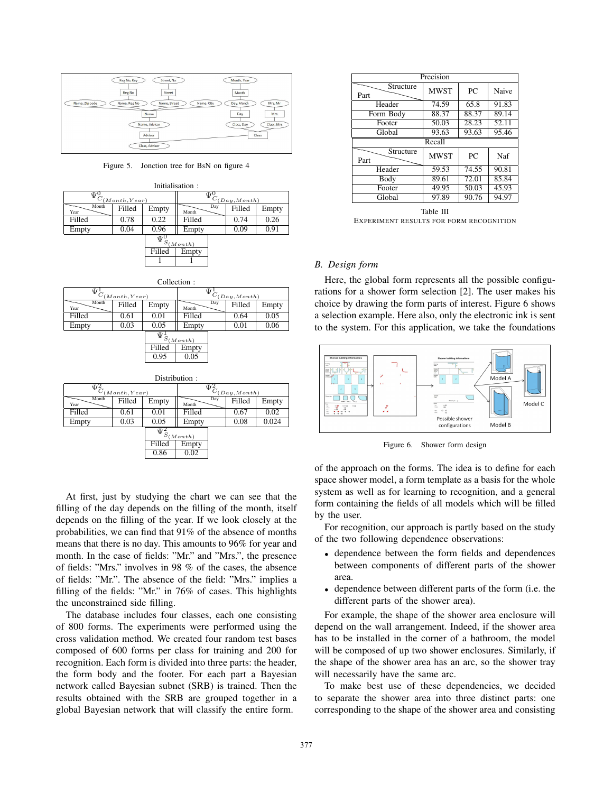

Figure 5. Jonction tree for BsN on figure 4

|        |                                                    |                    | Initialisation:        |     |                                                                   |              |
|--------|----------------------------------------------------|--------------------|------------------------|-----|-------------------------------------------------------------------|--------------|
|        | $\overline{\Psi^0_{C_{(\underline{Month},Year)}}}$ |                    |                        |     | $\overline{\Psi^0_{C_{(\underline{Day},\underline{Month})}}}$     |              |
| Year   | Filled                                             | Empty              | Month                  | Day | Filled                                                            | Empty        |
| Filled | 0.78                                               | 0.22               | Filled                 |     | 0.74                                                              | 0.26         |
| Empty  | 0.04                                               | 0.96               | Empty                  |     | 0.09                                                              | 0.91         |
|        |                                                    | $\Psi^0$<br>Filled | $S_{(Month)}$<br>Empty |     |                                                                   |              |
|        |                                                    |                    | Collection:            |     |                                                                   |              |
|        | $\overline{\Psi^1_{C_{(Month, Year)}}}$            |                    |                        |     | $\overline{\Psi}^{\text{I}}_{C_{(\underline{Day},\text{Month})}}$ |              |
| Month  | Filled                                             | Emnty              |                        | Day | Filled                                                            | <b>Emnty</b> |

| ${}^{\mathbf{\Psi}}C$ | (Month, Year) |            |         |     | $\mathcal{L}_{(Day,Month)}$ |       |
|-----------------------|---------------|------------|---------|-----|-----------------------------|-------|
| Month<br>Year         | Filled        | Empty      | Month   | Day | Filled                      | Empty |
| Filled                | 0.61          | 0.01       | Filled  |     | 0.64                        | 0.05  |
| Empty                 | 0.03          | 0.05       | Empty   |     | 0.01                        | 0.06  |
|                       |               | $\Psi_{S}$ | (Month) |     |                             |       |
|                       |               | Filled     | Empty   |     |                             |       |
|                       |               | 0.95       | 0.05    |     |                             |       |

|               |               |            | Distribution: |     |                                        |       |
|---------------|---------------|------------|---------------|-----|----------------------------------------|-------|
| $\Psi^2_{C}$  | (Month, Year) |            |               |     | $\Psi^2_{C_{(\underline{Day},Month)}}$ |       |
| Month<br>Year | Filled        | Empty      | Month         | Day | Filled                                 | Empty |
| Filled        | 0.61          | 0.01       | Filled        |     | 0.67                                   | 0.02  |
| Empty         | 0.03          | 0.05       | Empty         |     | 0.08                                   | 0.024 |
|               |               | $\Psi_S^2$ | (Month)       |     |                                        |       |
|               |               | Filled     | Empty         |     |                                        |       |
|               |               | 0.86       | 0.02          |     |                                        |       |

At first, just by studying the chart we can see that the filling of the day depends on the filling of the month, itself depends on the filling of the year. If we look closely at the probabilities, we can find that 91% of the absence of months means that there is no day. This amounts to 96% for year and month. In the case of fields: "Mr." and "Mrs.", the presence of fields: "Mrs." involves in 98 % of the cases, the absence of fields: "Mr.". The absence of the field: "Mrs." implies a filling of the fields: "Mr." in 76% of cases. This highlights the unconstrained side filling.

The database includes four classes, each one consisting of 800 forms. The experiments were performed using the cross validation method. We created four random test bases composed of 600 forms per class for training and 200 for recognition. Each form is divided into three parts: the header, the form body and the footer. For each part a Bayesian network called Bayesian subnet (SRB) is trained. Then the results obtained with the SRB are grouped together in a global Bayesian network that will classify the entire form.

|                   | Precision   |       |       |
|-------------------|-------------|-------|-------|
| Structure<br>Part | <b>MWST</b> | PC    | Naive |
| Header            | 74.59       | 65.8  | 91.83 |
| Form Body         | 88.37       | 88.37 | 89.14 |
| Footer            | 50.03       | 28.23 | 52.11 |
| Global            | 93.63       | 93.63 | 95.46 |
|                   | Recall      |       |       |
| Structure<br>Part | <b>MWST</b> | PC    | Naf   |
| Header            | 59.53       | 74.55 | 90.81 |
| Body              | 89.61       | 72.01 | 85.84 |
| Footer            | 49.95       | 50.03 | 45.93 |
| Global            | 97.89       | 90.76 | 94.97 |

Table III EXPERIMENT RESULTS FOR FORM RECOGNITION

#### *B. Design form*

Here, the global form represents all the possible configurations for a shower form selection [2]. The user makes his choice by drawing the form parts of interest. Figure 6 shows a selection example. Here also, only the electronic ink is sent to the system. For this application, we take the foundations



Figure 6. Shower form design

of the approach on the forms. The idea is to define for each space shower model, a form template as a basis for the whole system as well as for learning to recognition, and a general form containing the fields of all models which will be filled by the user.

For recognition, our approach is partly based on the study of the two following dependence observations:

- dependence between the form fields and dependences between components of different parts of the shower area.
- dependence between different parts of the form (i.e. the different parts of the shower area).

For example, the shape of the shower area enclosure will depend on the wall arrangement. Indeed, if the shower area has to be installed in the corner of a bathroom, the model will be composed of up two shower enclosures. Similarly, if the shape of the shower area has an arc, so the shower tray will necessarily have the same arc.

To make best use of these dependencies, we decided to separate the shower area into three distinct parts: one corresponding to the shape of the shower area and consisting